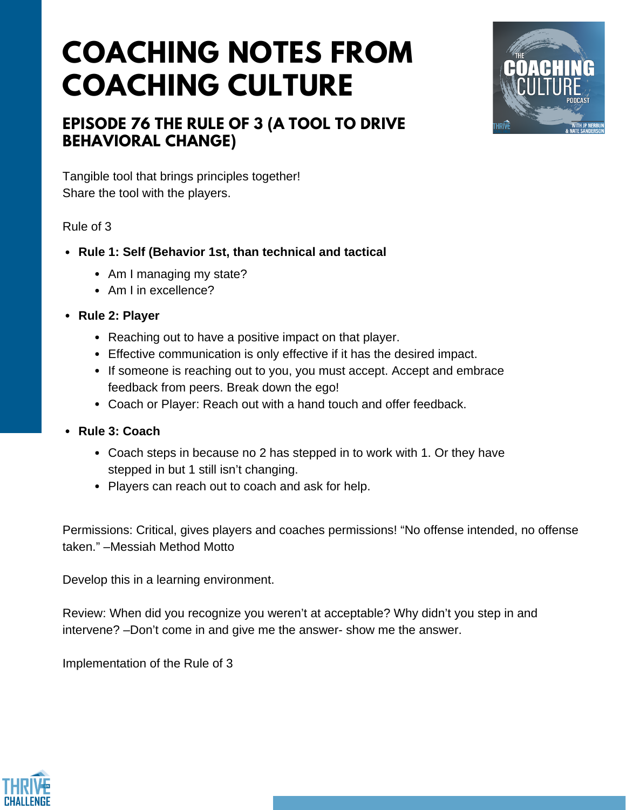# **COACHING NOTES FROM COACHING CULTURE**



## **EPISODE 76 THE RULE OF 3 (A TOOL TO DRIVE BEHAVIORAL CHANGE)**

Tangible tool that brings principles together! Share the tool with the players.

#### Rule of 3

- **Rule 1: Self (Behavior 1st, than technical and tactical**
	- Am I managing my state?
	- Am I in excellence?
- **Rule 2: Player**
	- Reaching out to have a positive impact on that player.
	- Effective communication is only effective if it has the desired impact.
	- If someone is reaching out to you, you must accept. Accept and embrace feedback from peers. Break down the ego!
	- Coach or Player: Reach out with a hand touch and offer feedback.
- **Rule 3: Coach**
	- Coach steps in because no 2 has stepped in to work with 1. Or they have stepped in but 1 still isn't changing.
	- Players can reach out to coach and ask for help.

Permissions: Critical, gives players and coaches permissions! "No offense intended, no offense taken." –Messiah Method Motto

Develop this in a learning environment.

Review: When did you recognize you weren't at acceptable? Why didn't you step in and intervene? –Don't come in and give me the answer- show me the answer.

Implementation of the Rule of 3